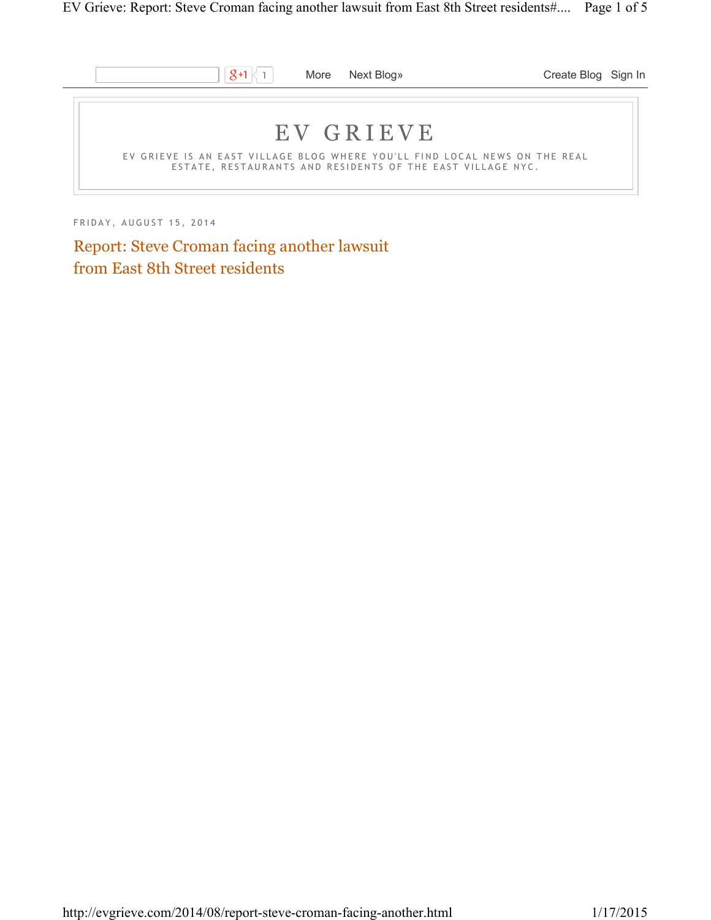

FRIDAY, AUGUST 15, 2014

Report: Steve Croman facing another lawsuit from East 8th Street residents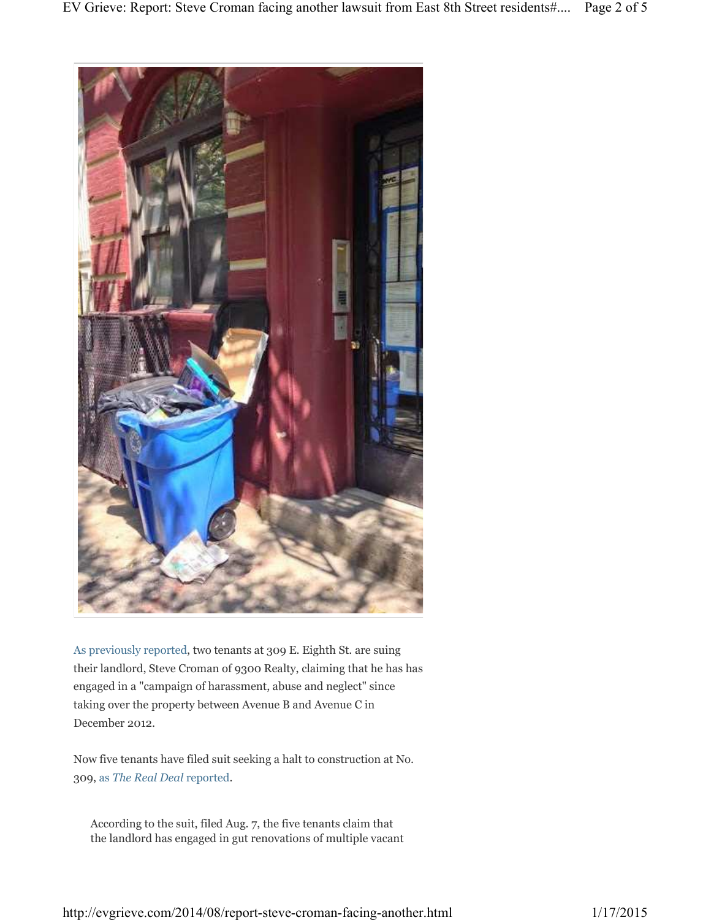

As previously reported, two tenants at 309 E. Eighth St. are suing their landlord, Steve Croman of 9300 Realty, claiming that he has has engaged in a "campaign of harassment, abuse and neglect" since taking over the property between Avenue B and Avenue C in December 2012.

Now five tenants have filed suit seeking a halt to construction at No. 309, as *The Real Deal* reported.

According to the suit, filed Aug. 7, the five tenants claim that the landlord has engaged in gut renovations of multiple vacant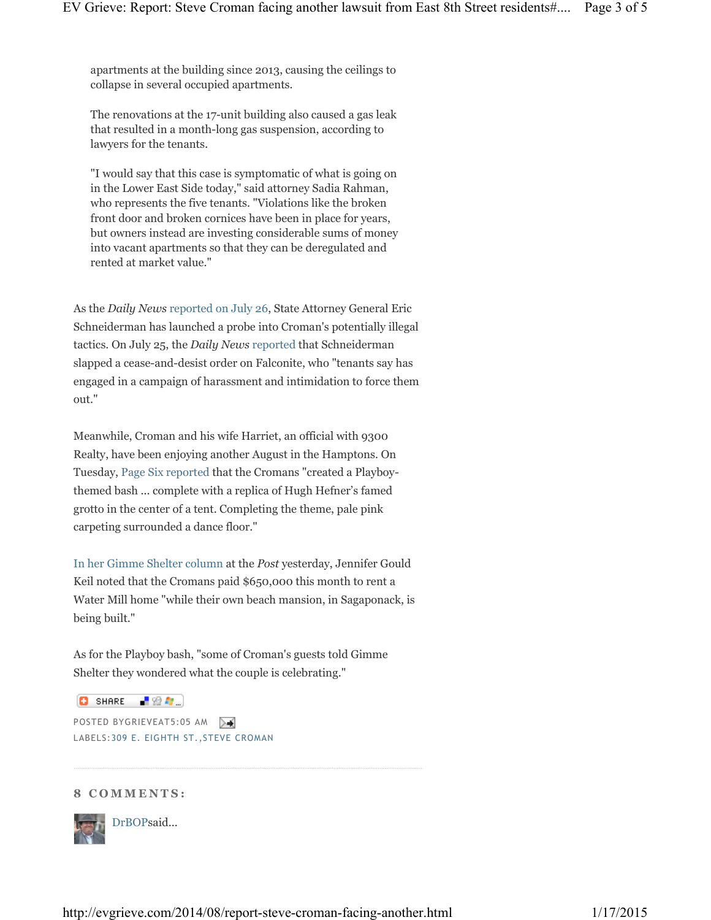apartments at the building since 2013, causing the ceilings to collapse in several occupied apartments.

The renovations at the 17-unit building also caused a gas leak that resulted in a month-long gas suspension, according to lawyers for the tenants.

"I would say that this case is symptomatic of what is going on in the Lower East Side today," said attorney Sadia Rahman, who represents the five tenants. "Violations like the broken front door and broken cornices have been in place for years, but owners instead are investing considerable sums of money into vacant apartments so that they can be deregulated and rented at market value."

As the *Daily News* reported on July 26, State Attorney General Eric Schneiderman has launched a probe into Croman's potentially illegal tactics. On July 25, the *Daily News* reported that Schneiderman slapped a cease-and-desist order on Falconite, who "tenants say has engaged in a campaign of harassment and intimidation to force them out."

Meanwhile, Croman and his wife Harriet, an official with 9300 Realty, have been enjoying another August in the Hamptons. On Tuesday, Page Six reported that the Cromans "created a Playboythemed bash ... complete with a replica of Hugh Hefner's famed grotto in the center of a tent. Completing the theme, pale pink carpeting surrounded a dance floor."

In her Gimme Shelter column at the *Post* yesterday, Jennifer Gould Keil noted that the Cromans paid \$650,000 this month to rent a Water Mill home "while their own beach mansion, in Sagaponack, is being built."

As for the Playboy bash, "some of Croman's guests told Gimme Shelter they wondered what the couple is celebrating."

**D** SHARE 【验*题*…】

POSTED BYGRIEVEAT5:05 AM LABELS:309 E. EIGHTH ST.,STEVE CROMAN

## **8 C O M M E N T S :**



DrBOPsaid...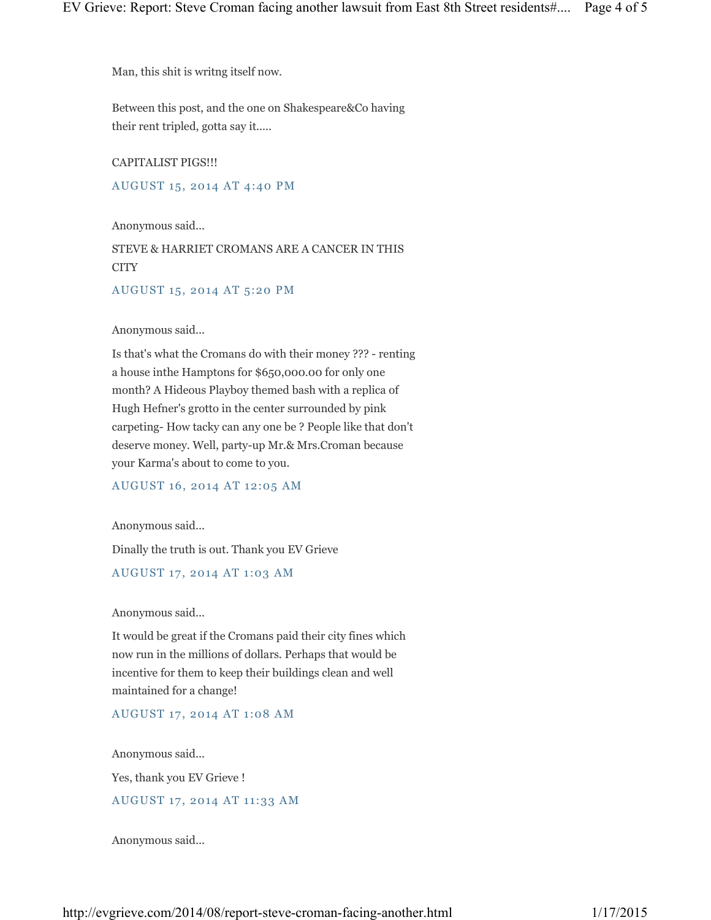Man, this shit is writng itself now.

Between this post, and the one on Shakespeare&Co having their rent tripled, gotta say it.....

CAPITALIST PIGS!!!

AUGUST 15, 2014 AT 4:40 PM

Anonymous said...

STEVE & HARRIET CROMANS ARE A CANCER IN THIS **CITY** 

AUGUST 15, 2014 AT 5:20 PM

Anonymous said...

Is that's what the Cromans do with their money ??? - renting a house inthe Hamptons for \$650,000.00 for only one month? A Hideous Playboy themed bash with a replica of Hugh Hefner's grotto in the center surrounded by pink carpeting- How tacky can any one be ? People like that don't deserve money. Well, party-up Mr.& Mrs.Croman because your Karma's about to come to you.

AUGUST 16, 2014 AT 12:05 AM

Anonymous said...

Dinally the truth is out. Thank you EV Grieve

AUGUST 17, 2014 AT 1:03 AM

Anonymous said...

It would be great if the Cromans paid their city fines which now run in the millions of dollars. Perhaps that would be incentive for them to keep their buildings clean and well maintained for a change!

AUGUST 17, 2014 AT 1:08 AM

Anonymous said...

Yes, thank you EV Grieve !

AUGUST 17, 2014 AT 11:33 AM

Anonymous said...